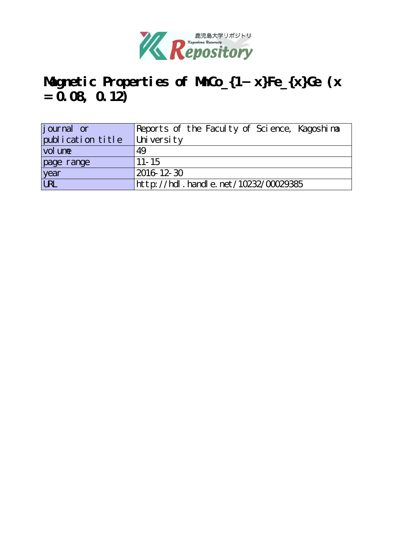

# Magnetic Properties of MnCo<sub>\_{1-x}Fe\_{x}</sub>Ge (x **= 0.08, 0.12)**

| <i>j</i> ournal or | Reports of the Faculty of Science, Kagoshima |
|--------------------|----------------------------------------------|
| publication title  | University                                   |
| vol une            | 49                                           |
| page range         | $11 - 15$                                    |
| year               | 2016 12 30                                   |
| URL                | http://hdl.handle.net/10232/00029385         |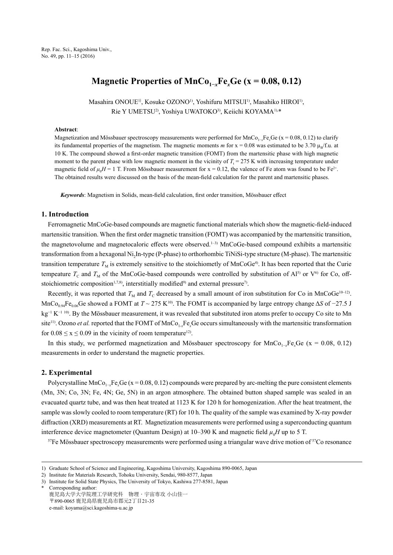Rep. Fac. Sci., Kagoshima Univ., No. 49, pp. 11–15 (2016)

# **Magnetic Properties of MnCo**<sub>1-*x*</sub>**Fe**<sub>*x*</sub>Ge (x = 0.08, 0.12)

Masahira ONOUE<sup>1)</sup>, Kosuke OZONO<sup>1)</sup>, Yoshifuru MITSUI<sup>1)</sup>, Masahiko HIROI<sup>1)</sup>, Rie Y UMETSU<sup>2)</sup>, Yoshiya UWATOKO<sup>3)</sup>, Keiichi KOYAMA<sup>1),\*</sup>

#### **Abstract**:

Magnetization and Mössbauer spectroscopy measurements were performed for MnCo<sub>1</sub><sub>*x*</sub>Fe<sub>x</sub>Ge (x = 0.08, 0.12) to clarify its fundamental properties of the magnetism. The magnetic moments *m* for  $x = 0.08$  was estimated to be 3.70  $\mu_B/f.u.$  at 10 K. The compound showed a first-order magnetic transition (FOMT) from the martensitic phase with high magnetic moment to the parent phase with low magnetic moment in the vicinity of  $T<sub>t</sub> = 275$  K with increasing temperature under magnetic field of  $\mu_0 H = 1$  T. From Mössbauer measurement for  $x = 0.12$ , the valence of Fe atom was found to be Fe<sup>2+</sup>. The obtained results were discussed on the basis of the mean-field calculation for the parent and martensitic phases.

*Keywords*: Magnetism in Solids, mean-field calculation, first order transition, Mössbauer effect

# **1. Introduction**

Ferromagnetic MnCoGe-based compounds are magnetic functional materials which show the magnetic-field-induced martensitic transition. When the first order magnetic transition (FOMT) was accompanied by the martensitic transition, the magnetovolume and magnetocaloric effects were observed.<sup>1–3)</sup> MnCoGe-based compound exhibits a martensitic transformation from a hexagonal Ni<sub>2</sub>In-type (P-phase) to orthorhombic TiNiSi-type structure (M-phase). The martensitic transition temperature  $T_M$  is extremely sensitive to the stoichiometly of MnCoGe<sup>4)</sup>. It has been reported that the Curie tempeature  $T_c$  and  $T_M$  of the MnCoGe-based compounds were controlled by substitution of Al<sup>5)</sup> or V<sup>6</sup> for Co, offstoichiometric composition<sup>1,7,8)</sup>, interstitially modified<sup>9)</sup> and external pressure<sup>7)</sup>.

Recently, it was reported that  $T_M$  and  $T_C$  decreased by a small amount of iron substitution for Co in MnCoGe<sup>10–12</sup>. MnCo<sub>0.94</sub>Fe<sub>0.06</sub>Ge showed a FOMT at *T* ~ 275 K<sup>10</sup>. The FOMT is accompanied by large entropy change Δ*S* of −27.5 J kg−1 K−1 10). By the Mössbauer measurement, it was revealed that substituted iron atoms prefer to occupy Co site to Mn site<sup>11)</sup>. Ozono *et al.* reported that the FOMT of MnCo<sub>1</sub>, Fe<sub>x</sub>Ge occurs simultaneously with the martensitic transformation for  $0.08 \le x \le 0.09$  in the vicinity of room temperature<sup>12</sup>.

In this study, we performed magnetization and Mössbauer spectroscopy for MnCo1−*x*Fe*x*Ge (x = 0.08, 0.12) measurements in order to understand the magnetic properties.

#### **2. Experimental**

Polycrystalline MnCo<sub>1→</sub>Fe<sub>x</sub>Ge (x = 0.08, 0.12) compounds were prepared by arc-melting the pure consistent elements (Mn, 3N; Co, 3N; Fe, 4N; Ge, 5N) in an argon atmosphere. The obtained button shaped sample was sealed in an evacuated quartz tube, and was then heat treated at 1123 K for 120 h for homogenization. After the heat treatment, the sample was slowly cooled to room temperature (RT) for 10 h. The quality of the sample was examined by X-ray powder diffraction (XRD) measurements at RT. Magnetization measurements were performed using a superconducting quantum interference device magnetometer (Quantum Design) at  $10-390$  K and magnetic field  $\mu_0H$  up to 5 T.

<sup>57</sup>Fe Mössbauer spectroscopy measurements were performed using a triangular wave drive motion of <sup>57</sup>Co resonance

<sup>1)</sup> Graduate School of Science and Engineering, Kagoshima University, Kagoshima 890-0065, Japan

<sup>2)</sup> Institute for Materials Research, Tohoku University, Sendai, 980-8577, Japan

<sup>3)</sup> Institute for Solid State Physics, The University of Tokyo, Kashiwa 277-8581, Japan

Corresponding author: 鹿児島大学大学院理工学研究科 物理・宇宙専攻 小山佳一 〒890-0065 鹿児島県鹿児島市郡元2丁目21-35 e-mail: koyama@sci.kagoshima-u.ac.jp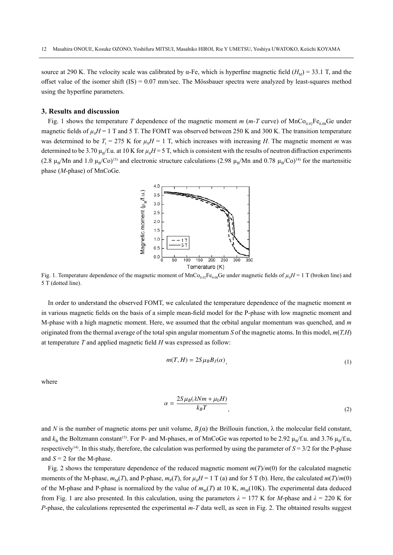source at 290 K. The velocity scale was calibrated by α-Fe, which is hyperfine magnetic field  $(H<sub>hf</sub>)$  = 33.1 T, and the offset value of the isomer shift  $(IS) = 0.07$  mm/sec. The Mössbauer spectra were analyzed by least-squares method using the hyperfine parameters.

# **3. Results and discussion**

Fig. 1 shows the temperature *T* dependence of the magnetic moment *m* (*m*-*T* curve) of MnCo<sub>0.92</sub>Fe<sub>0.08</sub>Ge under magnetic fields of  $\mu_0H = 1$  T and 5 T. The FOMT was observed between 250 K and 300 K. The transition temperature was determined to be  $T_t = 275$  K for  $\mu_0 H = 1$  T, which increases with increasing *H*. The magnetic moment *m* was determined to be 3.70  $\mu_B$ /f.u. at 10 K for  $\mu_0H = 5$  T, which is consistent with the results of neutron diffraction experiments (2.8  $\mu_B/Mn$  and 1.0  $\mu_B/Co$ )<sup>13)</sup> and electronic structure calculations (2.98  $\mu_B/Mn$  and 0.78  $\mu_B/Co$ )<sup>14)</sup> for the martensitic phase (*M*-phase) of MnCoGe.



Fig. 1. Temperature dependence of the magnetic moment of  $MnCo_{0.92}Fe_{0.08}Ge$  under magnetic fields of  $\mu_0H = 1$  T (broken line) and 5 T (dotted line).

In order to understand the observed FOMT, we calculated the temperature dependence of the magnetic moment *m* in various magnetic fields on the basis of a simple mean-field model for the P-phase with low magnetic moment and M-phase with a high magnetic moment. Here, we assumed that the orbital angular momentum was quenched, and *m* originated from the thermal average of the total spin angular momentum *S* of the magnetic atoms. In this model, *m*(*T,H*) at temperature *T* and applied magnetic field *H* was expressed as follow:

$$
m(T, H) = 2S\mu_B B_J(\alpha), \tag{1}
$$

where

$$
\alpha = \frac{2S\mu_B(\lambda Nm + \mu_0 H)}{k_B T},\tag{2}
$$

and *N* is the number of magnetic atoms per unit volume,  $B_j(\alpha)$  the Brillouin function,  $\lambda$  the molecular field constant, and  $k_B$  the Boltzmann constant<sup>15</sup>). For P- and M-phases, *m* of MnCoGe was reported to be 2.92  $\mu_B/f.u$ . and 3.76  $\mu_B/f.u$ . respectively<sup>14)</sup>. In this study, therefore, the calculation was performed by using the parameter of  $S = 3/2$  for the P-phase and  $S = 2$  for the M-phase.

Fig. 2 shows the temperature dependence of the reduced magnetic moment  $m(T)/m(0)$  for the calculated magnetic moments of the M-phase,  $m_M(T)$ , and P-phase,  $m_p(T)$ , for  $\mu_0 H = 1$  T (a) and for 5 T (b). Here, the calculated  $m(T)/m(0)$ of the M-phase and P-phase is normalized by the value of  $m<sub>M</sub>(T)$  at 10 K,  $m<sub>M</sub>(10K)$ . The experimental data deduced from Fig. 1 are also presented. In this calculation, using the parameters  $\lambda = 177$  K for *M*-phase and  $\lambda = 220$  K for *P*-phase, the calculations represented the experimental *m-T* data well, as seen in Fig. 2. The obtained results suggest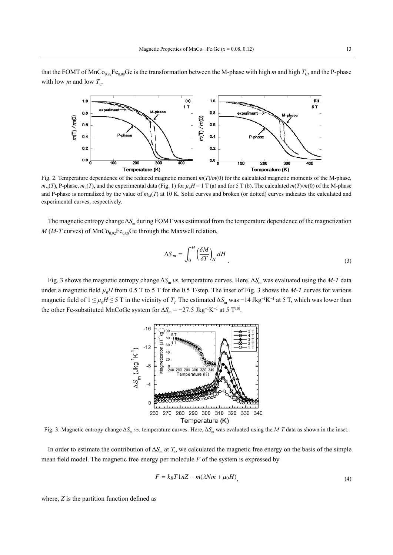that the FOMT of MnCo<sub>0.92</sub>Fe<sub>0.08</sub>Ge is the transformation between the M-phase with high *m* and high  $T_c$ , and the P-phase with low *m* and low  $T_c$ .



Fig. 2. Temperature dependence of the reduced magnetic moment *m*(*T*)/*m*(0) for the calculated magnetic moments of the M-phase,  $m_M(T)$ , P-phase,  $m_p(T)$ , and the experimental data (Fig. 1) for  $\mu_0 H = 1$  T (a) and for 5 T (b). The calculated  $m(T)/m(0)$  of the M-phase and P-phase is normalized by the value of  $m<sub>M</sub>(T)$  at 10 K. Solid curves and broken (or dotted) curves indicates the calculated and experimental curves, respectively.

The magnetic entropy change Δ*S*<sub>m</sub> during FOMT was estimated from the temperature dependence of the magnetization  $M(M-T$  curves) of  $MnCo_{0.92}Fe_{0.08}Ge$  through the Maxwell relation,

$$
\Delta S_m = \int_0^H \left(\frac{\delta M}{\delta T}\right)_H dH\tag{3}
$$

Fig. 3 shows the magnetic entropy change  $\Delta S_m$  *vs.* temperature curves. Here,  $\Delta S_m$  was evaluated using the *M-T* data under a magnetic field  $\mu_0 H$  from 0.5 T to 5 T for the 0.5 T/step. The inset of Fig. 3 shows the *M-T* curves for various magnetic field of  $1 \le \mu_0 H \le 5$  T in the vicinity of  $T_t$ . The estimated  $\Delta S_m$  was  $-14$  Jkg<sup>-1</sup>K<sup>-1</sup> at 5 T, which was lower than the other Fe-substituted MnCoGe system for  $\Delta S_{\text{m}} = -27.5 \text{ Jkg}^{-1}\text{K}^{-1}$  at 5 T<sup>10)</sup>.



Fig. 3. Magnetic entropy change Δ*S*<sup>m</sup> *vs.* temperature curves. Here, Δ*S*m was evaluated using the *M-T* data as shown in the inset.

In order to estimate the contribution of  $\Delta S_m$  at  $T_t$ , we calculated the magnetic free energy on the basis of the simple mean field model. The magnetic free energy per molecule *F* of the system is expressed by

$$
F = k_B T 1nZ - m(\lambda Nm + \mu_0 H), \tag{4}
$$

where, *Z* is the partition function defined as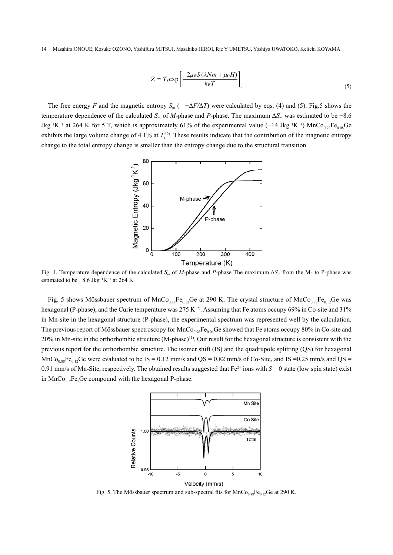$$
Z = T_r \exp\left[\frac{-2\mu_B S (\lambda N m + \mu_0 H)}{k_B T}\right]
$$
\n<sup>(5)</sup>

The free energy *F* and the magnetic entropy  $S_m$  (=  $-\Delta F/\Delta T$ ) were calculated by eqs. (4) and (5). Fig.5 shows the temperature dependence of the calculated  $S_m$  of *M*-phase and *P*-phase. The maximum  $\Delta S_m$  was estimated to be −8.6 Jkg<sup>-1</sup>K<sup>-1</sup> at 264 K for 5 T, which is approximately 61% of the experimental value (−14 Jkg<sup>-1</sup>K<sup>-1</sup>) MnCo<sub>0.92</sub>Fe<sub>0.08</sub>Ge exhibits the large volume change of 4.1% at  $T_t^{12}$ . These results indicate that the contribution of the magnetic entropy change to the total entropy change is smaller than the entropy change due to the structural transition.



Fig. 4. Temperature dependence of the calculated *S*m of *M*-phase and *P*-phase The maximum Δ*S*m from the M- to P-phase was estimated to be  $-8.6$  Jkg<sup>-1</sup>K<sup>-1</sup> at 264 K.

Fig. 5 shows Mössbauer spectrum of  $MnCo_{0.88}Fe_{0.12}Ge$  at 290 K. The crystal structure of  $MnCo_{0.88}Fe_{0.12}Ge$  was hexagonal (P-phase), and the Curie temperature was 275 K<sup>12)</sup>. Assuming that Fe atoms occupy 69% in Co-site and 31% in Mn-site in the hexagonal structure (P-phase), the experimental spectrum was represented well by the calculation. The previous report of Mössbauer spectroscopy for  $MnCo_{0.96}Fe_{0.04}Ge$  showed that Fe atoms occupy 80% in Co-site and 20% in Mn-site in the orthorhombic structure (M-phase)11). Our result for the hexagonal structure is consistent with the previous report for the orthorhombic structure. The isomer shift (IS) and the quadrupole splitting (QS) for hexagonal MnCo<sub>0.88</sub>Fe<sub>0.12</sub>Ge were evaluated to be IS = 0.12 mm/s and QS = 0.82 mm/s of Co-Site, and IS = 0.25 mm/s and QS = 0.91 mm/s of Mn-Site, respectively. The obtained results suggested that  $Fe<sup>2+</sup>$  ions with  $S = 0$  state (low spin state) exist in MnCo1−*x*Fe*x*Ge compound with the hexagonal P-phase.



Fig. 5. The Mössbauer spectrum and sub-spectral fits for  $MnCo_{0.88}Fe_{0.12}Ge$  at 290 K.